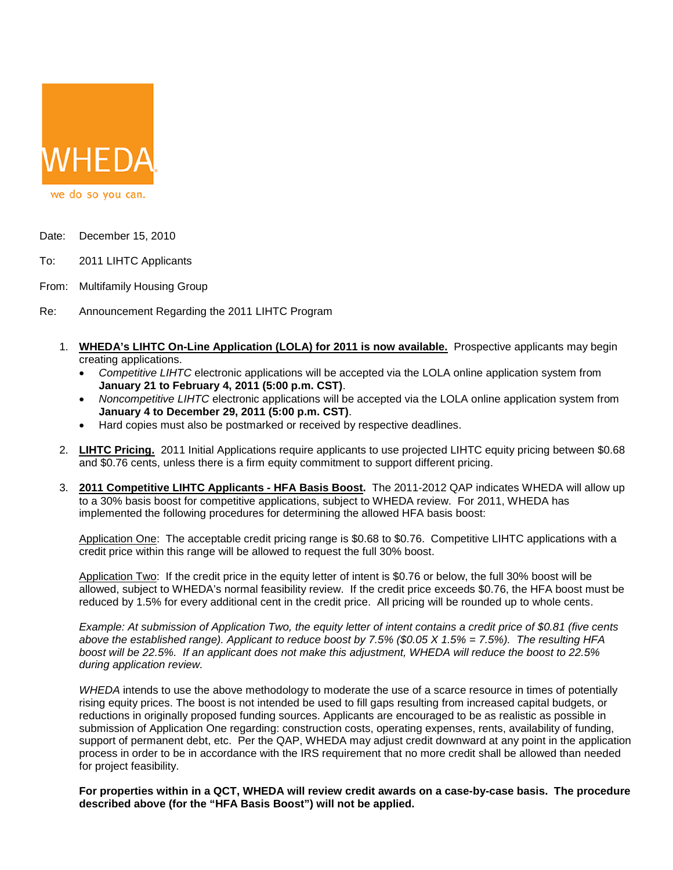

- Date: December 15, 2010
- To: 2011 LIHTC Applicants
- From: Multifamily Housing Group
- Re: Announcement Regarding the 2011 LIHTC Program
	- 1. **WHEDA's LIHTC On-Line Application (LOLA) for 2011 is now available.** Prospective applicants may begin creating applications.
		- *Competitive LIHTC* electronic applications will be accepted via the LOLA online application system from **January 21 to February 4, 2011 (5:00 p.m. CST)**.
		- *Noncompetitive LIHTC* electronic applications will be accepted via the LOLA online application system from **January 4 to December 29, 2011 (5:00 p.m. CST)**.
		- Hard copies must also be postmarked or received by respective deadlines.
	- 2. **LIHTC Pricing.** 2011 Initial Applications require applicants to use projected LIHTC equity pricing between \$0.68 and \$0.76 cents, unless there is a firm equity commitment to support different pricing.
	- 3. **2011 Competitive LIHTC Applicants - HFA Basis Boost.** The 2011-2012 QAP indicates WHEDA will allow up to a 30% basis boost for competitive applications, subject to WHEDA review. For 2011, WHEDA has implemented the following procedures for determining the allowed HFA basis boost:

Application One: The acceptable credit pricing range is \$0.68 to \$0.76. Competitive LIHTC applications with a credit price within this range will be allowed to request the full 30% boost.

Application Two: If the credit price in the equity letter of intent is \$0.76 or below, the full 30% boost will be allowed, subject to WHEDA's normal feasibility review. If the credit price exceeds \$0.76, the HFA boost must be reduced by 1.5% for every additional cent in the credit price. All pricing will be rounded up to whole cents.

*Example: At submission of Application Two, the equity letter of intent contains a credit price of \$0.81 (five cents above the established range). Applicant to reduce boost by 7.5% (\$0.05 X 1.5% = 7.5%). The resulting HFA boost will be 22.5%. If an applicant does not make this adjustment, WHEDA will reduce the boost to 22.5% during application review.*

*WHEDA* intends to use the above methodology to moderate the use of a scarce resource in times of potentially rising equity prices. The boost is not intended be used to fill gaps resulting from increased capital budgets, or reductions in originally proposed funding sources. Applicants are encouraged to be as realistic as possible in submission of Application One regarding: construction costs, operating expenses, rents, availability of funding, support of permanent debt, etc. Per the QAP, WHEDA may adjust credit downward at any point in the application process in order to be in accordance with the IRS requirement that no more credit shall be allowed than needed for project feasibility.

**For properties within in a QCT, WHEDA will review credit awards on a case-by-case basis. The procedure described above (for the "HFA Basis Boost") will not be applied.**